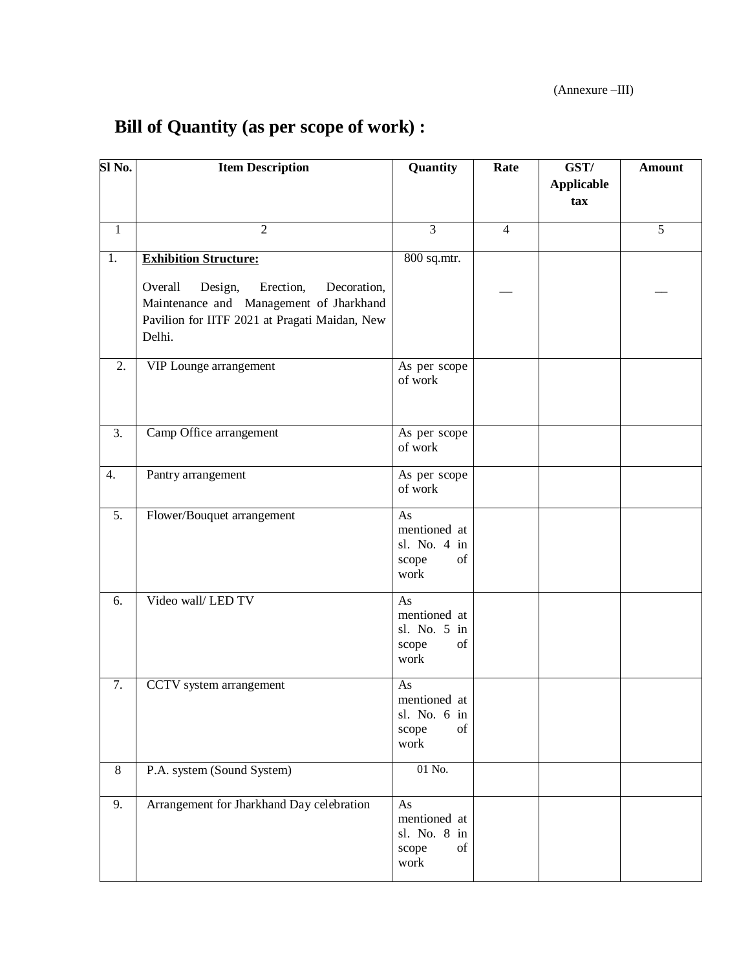## **Bill of Quantity (as per scope of work) :**

| $\overline{\textbf{SI}}$ No. | <b>Item Description</b>                                                                                                                                                              | Quantity                                                  | Rate           | GST/<br><b>Applicable</b><br>tax | <b>Amount</b> |
|------------------------------|--------------------------------------------------------------------------------------------------------------------------------------------------------------------------------------|-----------------------------------------------------------|----------------|----------------------------------|---------------|
| $\mathbf{1}$                 | $\overline{2}$                                                                                                                                                                       | $\overline{3}$                                            | $\overline{4}$ |                                  | 5             |
| 1.                           | <b>Exhibition Structure:</b><br>Overall<br>Erection,<br>Decoration,<br>Design,<br>Maintenance and Management of Jharkhand<br>Pavilion for IITF 2021 at Pragati Maidan, New<br>Delhi. | 800 sq.mtr.                                               |                |                                  |               |
| 2.                           | VIP Lounge arrangement                                                                                                                                                               | As per scope<br>of work                                   |                |                                  |               |
| $\overline{3}$ .             | Camp Office arrangement                                                                                                                                                              | As per scope<br>of work                                   |                |                                  |               |
| 4.                           | Pantry arrangement                                                                                                                                                                   | As per scope<br>of work                                   |                |                                  |               |
| $\overline{5}$ .             | Flower/Bouquet arrangement                                                                                                                                                           | As<br>mentioned at<br>sl. No. 4 in<br>scope<br>of<br>work |                |                                  |               |
| 6.                           | Video wall/LED TV                                                                                                                                                                    | As<br>mentioned at<br>sl. No. 5 in<br>scope<br>of<br>work |                |                                  |               |
| 7.                           | CCTV system arrangement                                                                                                                                                              | As<br>mentioned at<br>sl. No. 6 in<br>of<br>scope<br>work |                |                                  |               |
| $\,8\,$                      | P.A. system (Sound System)                                                                                                                                                           | 01 No.                                                    |                |                                  |               |
| 9.                           | Arrangement for Jharkhand Day celebration                                                                                                                                            | As<br>mentioned at<br>sl. No. 8 in<br>scope<br>of<br>work |                |                                  |               |